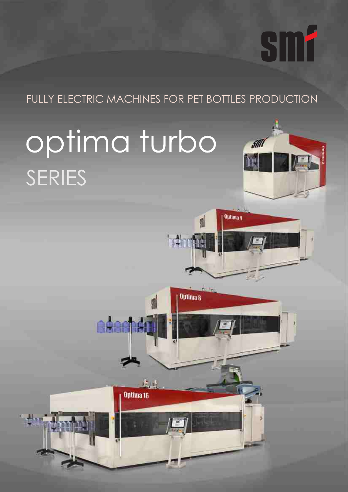# Smf

FULLY ELECTRIC MACHINES FOR PET BOTTLES PRODUCTION

**THE CO** 

## optima turbo SERIES



Optima 4

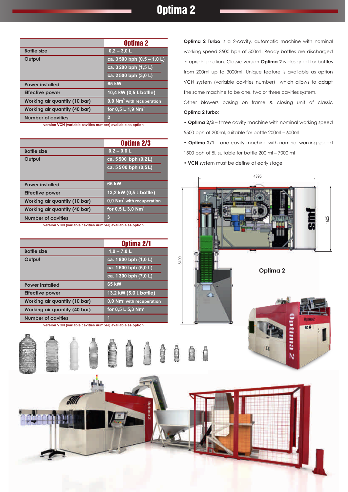#### Optima 2

| Optima 2                              |  |  |  |  |
|---------------------------------------|--|--|--|--|
| $0.2 - 3.0 L$                         |  |  |  |  |
| ca. $3500$ bph $(0,5 - 1,0)$          |  |  |  |  |
| ca. 3200 bph (1,5L)                   |  |  |  |  |
| ca. $2\overline{500}$ bph $(3,0 L)$   |  |  |  |  |
| <b>65 kW</b>                          |  |  |  |  |
| 10,4 kW (0,5 L bottle)                |  |  |  |  |
| 0,0 Nm <sup>3</sup> with recuperation |  |  |  |  |
| for 0,5 L 1,9 Nm <sup>3</sup>         |  |  |  |  |
|                                       |  |  |  |  |
|                                       |  |  |  |  |

**version VCN (variable cavities number) available as option** 

|                               | Optima 2/3                            |  |  |  |  |
|-------------------------------|---------------------------------------|--|--|--|--|
| <b>Bottle size</b>            | $0.2 - 0.6$ L                         |  |  |  |  |
| Output                        | ca. 5500 bph (0,2L)                   |  |  |  |  |
|                               | ca. 5500 bph (0,5L)                   |  |  |  |  |
| <b>Power installed</b>        | <b>65 kW</b>                          |  |  |  |  |
| <b>Effective power</b>        | 13,2 kW (0,5 L bottle)                |  |  |  |  |
| Working air quantity (10 bar) | 0,0 Nm <sup>3</sup> with recuperation |  |  |  |  |
| Working air quantity (40 bar) | for $0,5 L 3,0 Nm3$                   |  |  |  |  |
| <b>Number of cavities</b>     | 3                                     |  |  |  |  |
|                               |                                       |  |  |  |  |

**version VCN (variable cavities number) available as option** 

|                                      | Optima 2/1                            |  |  |  |
|--------------------------------------|---------------------------------------|--|--|--|
| <b>Bottle size</b>                   | $1,0 - 7,0$ L                         |  |  |  |
| Output                               | ca. 1800 bph (1,0 L)                  |  |  |  |
|                                      | ca. $1\overline{500}$ bph $(5,0 L)$   |  |  |  |
|                                      | ca. 1300 bph (7,0 L)                  |  |  |  |
| <b>Power installed</b>               | <b>65 kW</b>                          |  |  |  |
| <b>Effective power</b>               | 13,2 kW (5,0 L bottle)                |  |  |  |
| <b>Working air quantity (10 bar)</b> | 0.0 Nm <sup>3</sup> with recuperation |  |  |  |
| <b>Working air quantity (40 bar)</b> | for $0,5 L 5,3 Nm3$                   |  |  |  |
| <b>Number of cavities</b>            |                                       |  |  |  |

**version VCN (variable cavities number) available as option** 

**Optima 2 Turbo** is a 2-cavity, automatic machine with nominal working speed 3500 bph of 500ml. Ready bottles are discharged in upright position. Classic version **Optima 2** is designed for bottles from 200ml up to 3000ml. Unique feature is available as option VCN system (variable cavities number) which allows to adapt the same machine to be one, two or three cavities system.

Other blowers basing on frame & closing unit of classic **Optima 2 turbo**:

• **Optima 2/3** – three cavity machine with nominal working speed 5500 bph of 200ml, suitable for bottle 200ml – 600ml

• **Optima 2/1** – one cavity machine with nominal working speed 1500 bph of 5l, suitable for bottle 200 ml – 7000 ml

• **VCN** system must be define at early stage



Er

N.



U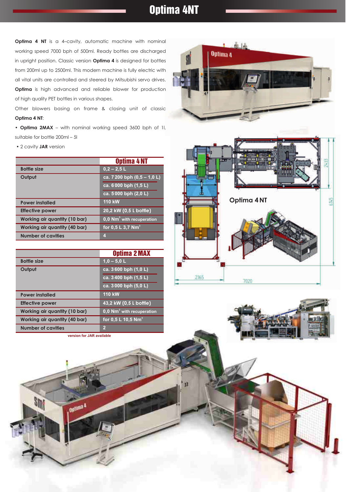#### Optima 4NT

**Optima 4 NT** is a 4-cavity, automatic machine with nominal working speed 7000 bph of 500ml. Ready bottles are discharged in upright position. Classic version **Optima 4** is designed for bottles from 200ml up to 2500ml. This modern machine is fully electric with all vital units are controlled and steered by Mitsubishi servo drives. **Optima** is high advanced and reliable blower for production

of high quality PET bottles in various shapes.

Other blowers basing on frame & closing unit of classic **Optima 4 NT**:

• **Optima 2MAX** – with nominal working speed 3600 bph of 1l, suitable for bottle 200ml – 5l

• 2 cavity **JAR** version

Sm

|                               | <b>Optima 4 NT</b>                    |  |  |  |  |
|-------------------------------|---------------------------------------|--|--|--|--|
| <b>Bottle size</b>            | $0.2 - 2.5$ L                         |  |  |  |  |
| Output                        | ca. 7 200 bph $(0,5 - 1, 0, L)$       |  |  |  |  |
|                               | ca. $6\overline{000}$ bph $(1,5 L)$   |  |  |  |  |
|                               | ca. 5000 bph (2,0 L)                  |  |  |  |  |
| <b>Power installed</b>        | <b>110 kW</b>                         |  |  |  |  |
| <b>Effective power</b>        | 20,2 kW (0,5 L bottle)                |  |  |  |  |
| Working air quantity (10 bar) | 0,0 Nm <sup>3</sup> with recuperation |  |  |  |  |
| Working air quantity (40 bar) | for 0,5 L 3,7 Nm <sup>3</sup>         |  |  |  |  |
| <b>Number of cavities</b>     | z                                     |  |  |  |  |

|                               | <b>Optima 2 MAX</b>                   |  |  |  |  |
|-------------------------------|---------------------------------------|--|--|--|--|
| <b>Bottle size</b>            | $1.0 - 5.0 L$                         |  |  |  |  |
| Output                        | ca. 3600 bph (1,0 L)                  |  |  |  |  |
|                               | ca. 3400 bph (1,5 L)                  |  |  |  |  |
|                               | ca. 3000 bph (5,0 L)                  |  |  |  |  |
| <b>Power installed</b>        | $110$ kW                              |  |  |  |  |
| <b>Effective power</b>        | 43,2 kW (0,5 L bottle)                |  |  |  |  |
| Working air quantity (10 bar) | 0,0 Nm <sup>3</sup> with recuperation |  |  |  |  |
| Working air quantity (40 bar) | for 0,5 L 10,5 Nm <sup>3</sup>        |  |  |  |  |
| <b>Number of cavities</b>     | $\overline{2}$                        |  |  |  |  |

**version for JAR available** 

Optima a





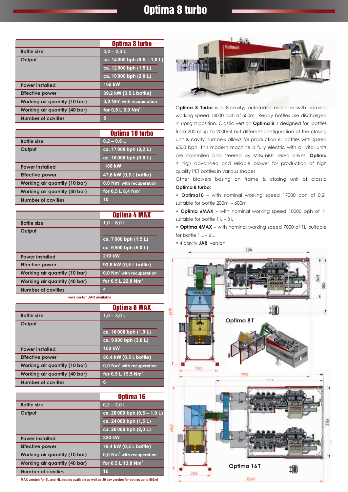#### Optima 8 turbo

|                                      | <b>Optima 8 turbo</b>                 |  |  |  |  |
|--------------------------------------|---------------------------------------|--|--|--|--|
| <b>Bottle size</b>                   | $0,2 - 2,0$ L                         |  |  |  |  |
| Output                               | ca. 14 000 bph $(0,5 - 1,0 L)$        |  |  |  |  |
|                                      | ca. 12000 bph (1,5L)                  |  |  |  |  |
|                                      | ca. 10 000 bph (2,0 L)                |  |  |  |  |
| <b>Power installed</b>               | <b>160 kW</b>                         |  |  |  |  |
| <b>Effective power</b>               | 39,2 kW (0,5 L bottle)                |  |  |  |  |
| <b>Working air quantity (10 bar)</b> | 0,0 Nm <sup>3</sup> with recuperation |  |  |  |  |
| Working air quantity (40 bar)        | for $0,5$ L 6,9 Nm <sup>3</sup>       |  |  |  |  |
| <b>Number of cavities</b>            | 8                                     |  |  |  |  |

|                                      | Optima 10 turbo                       |  |  |  |  |
|--------------------------------------|---------------------------------------|--|--|--|--|
| <b>Bottle size</b>                   | $0.2 - 0.6$ L                         |  |  |  |  |
| Output                               | ca. 17 000 bph (0,2 L)                |  |  |  |  |
|                                      | ca. $16000$ bph $(0,6 L)$             |  |  |  |  |
| <b>Power installed</b>               | <b>160 kW</b>                         |  |  |  |  |
| <b>Effective power</b>               | 47,6 kW (0,5 L bottle)                |  |  |  |  |
| <b>Working air quantity (10 bar)</b> | 0,0 Nm <sup>3</sup> with recuperation |  |  |  |  |
| <b>Working air quantity (40 bar)</b> | for 0,5 L 8,4 Nm <sup>3</sup>         |  |  |  |  |
| <b>Number of cavities</b>            | 10                                    |  |  |  |  |

|                               | <b>Optima 4 MAX</b>                   |
|-------------------------------|---------------------------------------|
| <b>Bottle size</b>            | $1,0 - 6,0 L$                         |
| Output                        |                                       |
|                               | ca. 7000 bph (1,5L)                   |
|                               | ca. $6\overline{500}$ bph $(5,0 L)$   |
| <b>Power installed</b>        | 210 kW                                |
| <b>Effective power</b>        | 93,6 kW (0,5 L bottle)                |
| Working air quantity (10 bar) | 0,0 Nm <sup>3</sup> with recuperation |
| Working air quantity (40 bar) | for 0,5 L 22,8 Nm <sup>3</sup>        |
| <b>Number of cavities</b>     | 4                                     |

**version for JAR available** 

|                                      | <b>Optima 6 MAX</b>                   |
|--------------------------------------|---------------------------------------|
| <b>Bottle size</b>                   | $1,0 - 3,0$ L                         |
| Output                               |                                       |
|                                      | ca. 10000 bph (1,0 L)                 |
|                                      | ca. 9000 bph (3,0 L)                  |
| <b>Power installed</b>               | 160 kW                                |
| <b>Effective power</b>               | 86,4 kW (0,5 L bottle)                |
| <b>Working air quantity (10 bar)</b> | 0,0 Nm <sup>3</sup> with recuperation |
| Working air quantity (40 bar)        | for 0,5 L 19,5 Nm <sup>3</sup>        |
| <b>Number of cavities</b>            | 6                                     |

|                               | Optima 16                             |  |  |  |  |
|-------------------------------|---------------------------------------|--|--|--|--|
| <b>Bottle size</b>            | $0.2 - 2.0$ L                         |  |  |  |  |
| Output                        | ca. 28 000 bph $(0,5 - 1,0 L)$        |  |  |  |  |
|                               | ca. 24 000 bph (1,5 L)                |  |  |  |  |
|                               | ca. $20000$ bph $(2,0L)$              |  |  |  |  |
| <b>Power installed</b>        | 320 kW                                |  |  |  |  |
| <b>Effective power</b>        | 78,4 kW (0,5 L bottle)                |  |  |  |  |
| Working air quantity (10 bar) | 0,0 Nm <sup>3</sup> with recuperation |  |  |  |  |
| Working air quantity (40 bar) | for 0,5 L 13,8 Nm <sup>3</sup>        |  |  |  |  |
| <b>Number of cavities</b>     | 16                                    |  |  |  |  |

**MAX version for 3L and 6L bottles available as well as 20 cav version for bottles up to 600ml**



O**ptima 8 Turbo** is a 8-cavity, automatic machine with nominal working speed 14000 bph of 500ml. Ready bottles are discharged in upright position. Classic version **Optima 8** is designed for bottles from 200ml up to 2000ml but different configuration of the closing unit & cavity numbers allows for production 6L bottles with speed 6500 bph. This modern machine is fully electric with all vital units are controlled and steered by Mitsubishi servo drives. **Optima** is high advanced and reliable blower for production of high quality PET bottles in various shapes.

Other blowers basing on frame & closing unit of classic **Optima 8 turbo**:

• **Optima10** – with nominal working speed 17000 bph of 0,2l, suitable for bottle 200ml – 600ml

• **Optima 6MAX** – with nominal working speed 10000 bph of 1l, suitable for bottle 1 L – 3 L

• **Optima 4MAX** – with nominal working speed 7000 of 1L, suitable for bottle  $1 L - 6 L$ 

• 4 cavity **JAR** version

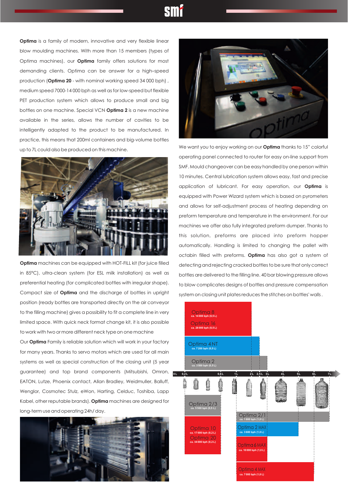### **smf**

**Optima** is a family of modern, innovative and very flexible linear blow moulding machines. With more than 15 members (types of Optima machines), our **Optima** family offers solutions for most demanding clients. Optima can be answer for a high–speed production (**Optima 20** - with nominal working speed 34 000 bph) , medium speed 7000-14 000 bph as well as for low-speed but flexible PET production system which allows to produce small and big bottles on one machine. Special VCN **Optima 2** is a new machine available in the series, allows the number of cavities to be intelligently adapted to the product to be manufactured. In practice, this means that 200ml containers and big-volume bottles up to 7L could also be produced on this machine.



**Optima** machines can be equipped with HOT-FILL kit (for juice filled in 85°C), ultra-clean system (for ESL milk installation) as well as preferential heating (for complicated bottles with irregular shape). Compact size of **Optima** and the discharge of bottles in upright position (ready bottles are transported directly on the air conveyor to the filling machine) gives a possibility to fit a complete line in very limited space. With quick neck format change kit, it is also possible to work with two or more different neck type on one machine

guarantee) and top brand components (Mitsubishi, Omron, <sub>ou</sub> Our **Optima** Family is reliable solution which will work in your factory for many years. Thanks to servo motors which are used for all main systems as well as special construction of the closing unit (5 year EATON, Lutze, Phoenix contact, Allan Bradley, Weidmuller, Balluff, Wenglor, Cosmotec Stulz, eWon, Harting, Celduc, Toshiba, Lapp Kabel, other reputable brands). **Optima** machines are designed for long-term use and operating 24h/ day.





We want you to enjoy working on our **Optima** thanks to 15" colorful operating panel connected to router for easy on-line support from SMF. Mould changeover can be easy handled by one person within 10 minutes. Central lubrication system allows easy, fast and precise application of lubricant. For easy operation, our **Optima** is equipped with Power Wizard system which is based on pyrometers and allows for self-adjustment process of heating depending on preform temperature and temperature in the environment. For our machines we offer also fully integrated preform dumper. Thanks to this solution, preforms are placed into preform hopper automatically. Handling is limited to changing the pallet with octabin filled with preforms. **Optima** has also got a system of detecting and rejecting cracked bottles to be sure that only correct bottles are delivered to the filling line. 40 bar blowing pressure allows to blow complicates designs of bottles and pressure compensation system on closing unit plates reduces the stitches on bottles' walls .